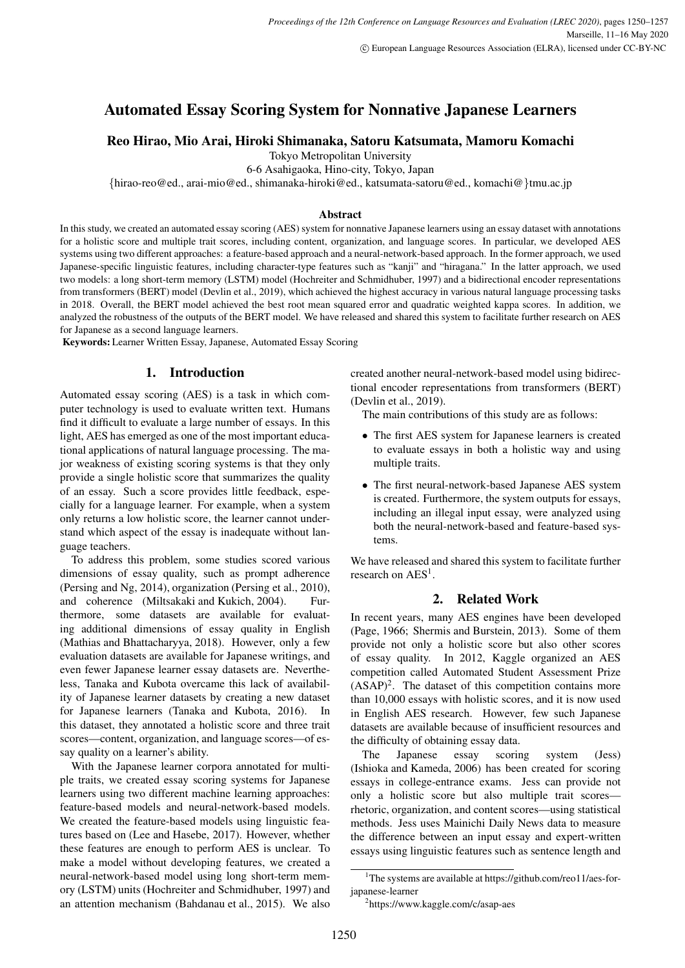# Automated Essay Scoring System for Nonnative Japanese Learners

# Reo Hirao, Mio Arai, Hiroki Shimanaka, Satoru Katsumata, Mamoru Komachi

Tokyo Metropolitan University

6-6 Asahigaoka, Hino-city, Tokyo, Japan

*{*hirao-reo@ed., arai-mio@ed., shimanaka-hiroki@ed., katsumata-satoru@ed., komachi@*}*tmu.ac.jp

### Abstract

In this study, we created an automated essay scoring (AES) system for nonnative Japanese learners using an essay dataset with annotations for a holistic score and multiple trait scores, including content, organization, and language scores. In particular, we developed AES systems using two different approaches: a feature-based approach and a neural-network-based approach. In the former approach, we used Japanese-specific linguistic features, including character-type features such as "kanji" and "hiragana." In the latter approach, we used two models: a long short-term memory (LSTM) model (Hochreiter and Schmidhuber, 1997) and a bidirectional encoder representations from transformers (BERT) model (Devlin et al., 2019), which achieved the highest accuracy in various natural language processing tasks in 2018. Overall, the BERT model achieved the best root mean squared error and quadratic weighted kappa scores. In addition, we analyzed the robustness of the outputs of the BERT model. We have released and shared this system to facilitate further research on AES for Japanese as a second language learners.

Keywords: Learner Written Essay, Japanese, Automated Essay Scoring

# 1. Introduction

Automated essay scoring (AES) is a task in which computer technology is used to evaluate written text. Humans find it difficult to evaluate a large number of essays. In this light, AES has emerged as one of the most important educational applications of natural language processing. The major weakness of existing scoring systems is that they only provide a single holistic score that summarizes the quality of an essay. Such a score provides little feedback, especially for a language learner. For example, when a system only returns a low holistic score, the learner cannot understand which aspect of the essay is inadequate without language teachers.

To address this problem, some studies scored various dimensions of essay quality, such as prompt adherence (Persing and Ng, 2014), organization (Persing et al., 2010), and coherence (Miltsakaki and Kukich, 2004). Furthermore, some datasets are available for evaluating additional dimensions of essay quality in English (Mathias and Bhattacharyya, 2018). However, only a few evaluation datasets are available for Japanese writings, and even fewer Japanese learner essay datasets are. Nevertheless, Tanaka and Kubota overcame this lack of availability of Japanese learner datasets by creating a new dataset for Japanese learners (Tanaka and Kubota, 2016). In this dataset, they annotated a holistic score and three trait scores—content, organization, and language scores—of essay quality on a learner's ability.

With the Japanese learner corpora annotated for multiple traits, we created essay scoring systems for Japanese learners using two different machine learning approaches: feature-based models and neural-network-based models. We created the feature-based models using linguistic features based on (Lee and Hasebe, 2017). However, whether these features are enough to perform AES is unclear. To make a model without developing features, we created a neural-network-based model using long short-term memory (LSTM) units (Hochreiter and Schmidhuber, 1997) and an attention mechanism (Bahdanau et al., 2015). We also created another neural-network-based model using bidirectional encoder representations from transformers (BERT) (Devlin et al., 2019).

The main contributions of this study are as follows:

- *•* The first AES system for Japanese learners is created to evaluate essays in both a holistic way and using multiple traits.
- *•* The first neural-network-based Japanese AES system is created. Furthermore, the system outputs for essays, including an illegal input essay, were analyzed using both the neural-network-based and feature-based systems.

We have released and shared this system to facilitate further research on  $\text{AES}^1$ .

# 2. Related Work

In recent years, many AES engines have been developed (Page, 1966; Shermis and Burstein, 2013). Some of them provide not only a holistic score but also other scores of essay quality. In 2012, Kaggle organized an AES competition called Automated Student Assessment Prize  $(ASAP)^2$ . The dataset of this competition contains more than 10,000 essays with holistic scores, and it is now used in English AES research. However, few such Japanese datasets are available because of insufficient resources and the difficulty of obtaining essay data.

The Japanese essay scoring system (Jess) (Ishioka and Kameda, 2006) has been created for scoring essays in college-entrance exams. Jess can provide not only a holistic score but also multiple trait scores rhetoric, organization, and content scores—using statistical methods. Jess uses Mainichi Daily News data to measure the difference between an input essay and expert-written essays using linguistic features such as sentence length and

<sup>&</sup>lt;sup>1</sup>The systems are available at https://github.com/reo11/aes-forjapanese-learner

<sup>2</sup> https://www.kaggle.com/c/asap-aes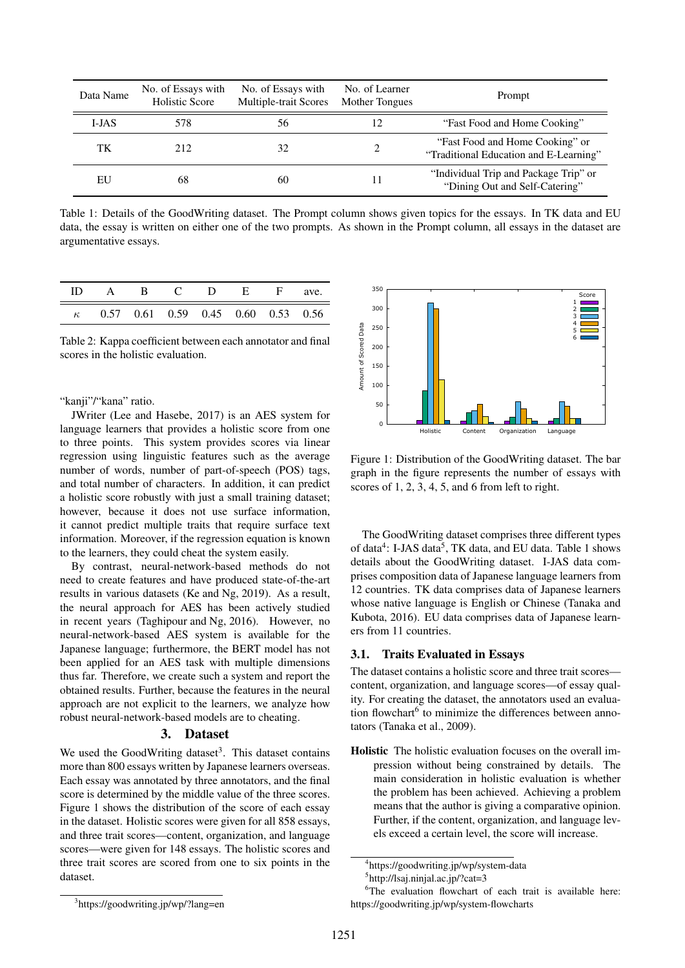| Data Name | No. of Essays with<br>Holistic Score | No. of Essays with<br>Multiple-trait Scores | No. of Learner<br>Mother Tongues | Prompt                                                                    |
|-----------|--------------------------------------|---------------------------------------------|----------------------------------|---------------------------------------------------------------------------|
| I-JAS     | 578                                  | 56                                          | 12                               | "Fast Food and Home Cooking"                                              |
| TK        | 212                                  | 32                                          |                                  | "Fast Food and Home Cooking" or<br>"Traditional Education and E-Learning" |
| EU        | 68                                   | 60                                          |                                  | "Individual Trip and Package Trip" or<br>"Dining Out and Self-Catering"   |

Table 1: Details of the GoodWriting dataset. The Prompt column shows given topics for the essays. In TK data and EU data, the essay is written on either one of the two prompts. As shown in the Prompt column, all essays in the dataset are argumentative essays.

| ID A B C D E F ave.                         |  |  |  |
|---------------------------------------------|--|--|--|
| $\kappa$ 0.57 0.61 0.59 0.45 0.60 0.53 0.56 |  |  |  |

Table 2: Kappa coefficient between each annotator and final scores in the holistic evaluation.

# "kanji"/"kana" ratio.

JWriter (Lee and Hasebe, 2017) is an AES system for language learners that provides a holistic score from one to three points. This system provides scores via linear regression using linguistic features such as the average number of words, number of part-of-speech (POS) tags, and total number of characters. In addition, it can predict a holistic score robustly with just a small training dataset; however, because it does not use surface information, it cannot predict multiple traits that require surface text information. Moreover, if the regression equation is known to the learners, they could cheat the system easily.

By contrast, neural-network-based methods do not need to create features and have produced state-of-the-art results in various datasets (Ke and Ng, 2019). As a result, the neural approach for AES has been actively studied in recent years (Taghipour and Ng, 2016). However, no neural-network-based AES system is available for the Japanese language; furthermore, the BERT model has not been applied for an AES task with multiple dimensions thus far. Therefore, we create such a system and report the obtained results. Further, because the features in the neural approach are not explicit to the learners, we analyze how robust neural-network-based models are to cheating.

# 3. Dataset

We used the GoodWriting dataset<sup>3</sup>. This dataset contains more than 800 essays written by Japanese learners overseas. Each essay was annotated by three annotators, and the final score is determined by the middle value of the three scores. Figure 1 shows the distribution of the score of each essay in the dataset. Holistic scores were given for all 858 essays, and three trait scores—content, organization, and language scores—were given for 148 essays. The holistic scores and three trait scores are scored from one to six points in the dataset.



Figure 1: Distribution of the GoodWriting dataset. The bar graph in the figure represents the number of essays with scores of 1, 2, 3, 4, 5, and 6 from left to right.

The GoodWriting dataset comprises three different types of data<sup>4</sup>: I-JAS data<sup>5</sup>, TK data, and EU data. Table 1 shows details about the GoodWriting dataset. I-JAS data comprises composition data of Japanese language learners from 12 countries. TK data comprises data of Japanese learners whose native language is English or Chinese (Tanaka and Kubota, 2016). EU data comprises data of Japanese learners from 11 countries.

# 3.1. Traits Evaluated in Essays

The dataset contains a holistic score and three trait scores content, organization, and language scores—of essay quality. For creating the dataset, the annotators used an evaluation flowchart<sup>6</sup> to minimize the differences between annotators (Tanaka et al., 2009).

Holistic The holistic evaluation focuses on the overall impression without being constrained by details. The main consideration in holistic evaluation is whether the problem has been achieved. Achieving a problem means that the author is giving a comparative opinion. Further, if the content, organization, and language levels exceed a certain level, the score will increase.

<sup>4</sup> https://goodwriting.jp/wp/system-data

<sup>5</sup> http://lsaj.ninjal.ac.jp/?cat=3

<sup>3</sup> https://goodwriting.jp/wp/?lang=en

<sup>&</sup>lt;sup>6</sup>The evaluation flowchart of each trait is available here: https://goodwriting.jp/wp/system-flowcharts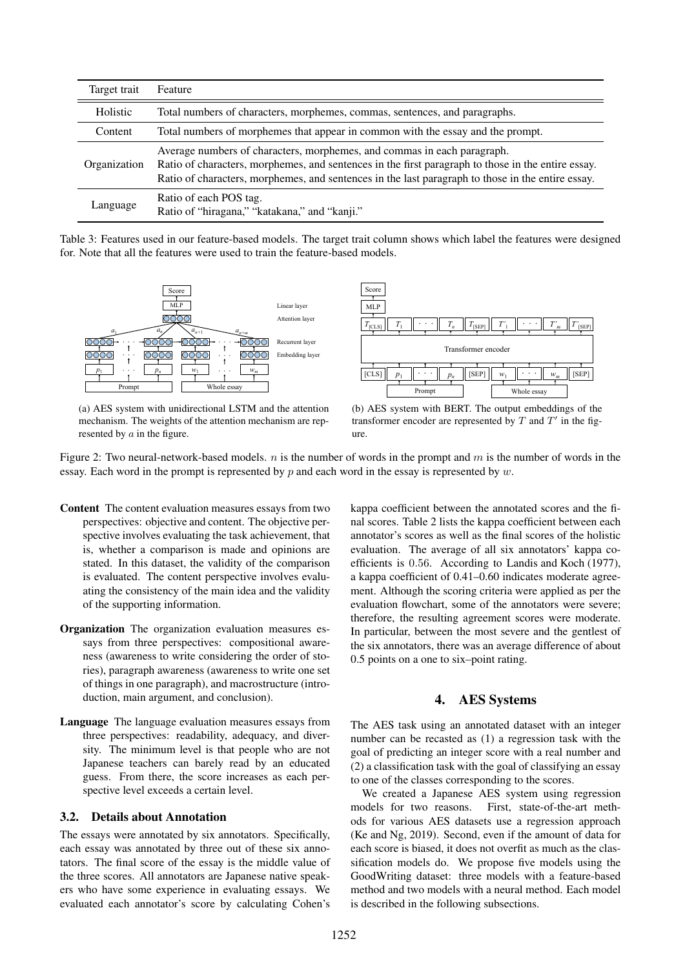| Target trait | Feature                                                                                                                                                                                                                                                                            |  |  |  |
|--------------|------------------------------------------------------------------------------------------------------------------------------------------------------------------------------------------------------------------------------------------------------------------------------------|--|--|--|
| Holistic     | Total numbers of characters, morphemes, commas, sentences, and paragraphs.                                                                                                                                                                                                         |  |  |  |
| Content      | Total numbers of morphemes that appear in common with the essay and the prompt.                                                                                                                                                                                                    |  |  |  |
| Organization | Average numbers of characters, morphemes, and commas in each paragraph.<br>Ratio of characters, morphemes, and sentences in the first paragraph to those in the entire essay.<br>Ratio of characters, morphemes, and sentences in the last paragraph to those in the entire essay. |  |  |  |
| Language     | Ratio of each POS tag.<br>Ratio of "hiragana," "katakana," and "kanji."                                                                                                                                                                                                            |  |  |  |

Table 3: Features used in our feature-based models. The target trait column shows which label the features were designed for. Note that all the features were used to train the feature-based models.





(a) AES system with unidirectional LSTM and the attention mechanism. The weights of the attention mechanism are represented by *a* in the figure.

(b) AES system with BERT. The output embeddings of the transformer encoder are represented by  $T$  and  $T'$  in the figure.

Figure 2: Two neural-network-based models. *n* is the number of words in the prompt and *m* is the number of words in the essay. Each word in the prompt is represented by *p* and each word in the essay is represented by *w*.

- Content The content evaluation measures essays from two perspectives: objective and content. The objective perspective involves evaluating the task achievement, that is, whether a comparison is made and opinions are stated. In this dataset, the validity of the comparison is evaluated. The content perspective involves evaluating the consistency of the main idea and the validity of the supporting information.
- Organization The organization evaluation measures essays from three perspectives: compositional awareness (awareness to write considering the order of stories), paragraph awareness (awareness to write one set of things in one paragraph), and macrostructure (introduction, main argument, and conclusion).
- Language The language evaluation measures essays from three perspectives: readability, adequacy, and diversity. The minimum level is that people who are not Japanese teachers can barely read by an educated guess. From there, the score increases as each perspective level exceeds a certain level.

### 3.2. Details about Annotation

The essays were annotated by six annotators. Specifically, each essay was annotated by three out of these six annotators. The final score of the essay is the middle value of the three scores. All annotators are Japanese native speakers who have some experience in evaluating essays. We evaluated each annotator's score by calculating Cohen's

kappa coefficient between the annotated scores and the final scores. Table 2 lists the kappa coefficient between each annotator's scores as well as the final scores of the holistic evaluation. The average of all six annotators' kappa coefficients is 0*.*56. According to Landis and Koch (1977), a kappa coefficient of 0.41–0.60 indicates moderate agreement. Although the scoring criteria were applied as per the evaluation flowchart, some of the annotators were severe; therefore, the resulting agreement scores were moderate. In particular, between the most severe and the gentlest of the six annotators, there was an average difference of about 0.5 points on a one to six–point rating.

# 4. AES Systems

The AES task using an annotated dataset with an integer number can be recasted as (1) a regression task with the goal of predicting an integer score with a real number and (2) a classification task with the goal of classifying an essay to one of the classes corresponding to the scores.

We created a Japanese AES system using regression models for two reasons. First, state-of-the-art methods for various AES datasets use a regression approach (Ke and Ng, 2019). Second, even if the amount of data for each score is biased, it does not overfit as much as the classification models do. We propose five models using the GoodWriting dataset: three models with a feature-based method and two models with a neural method. Each model is described in the following subsections.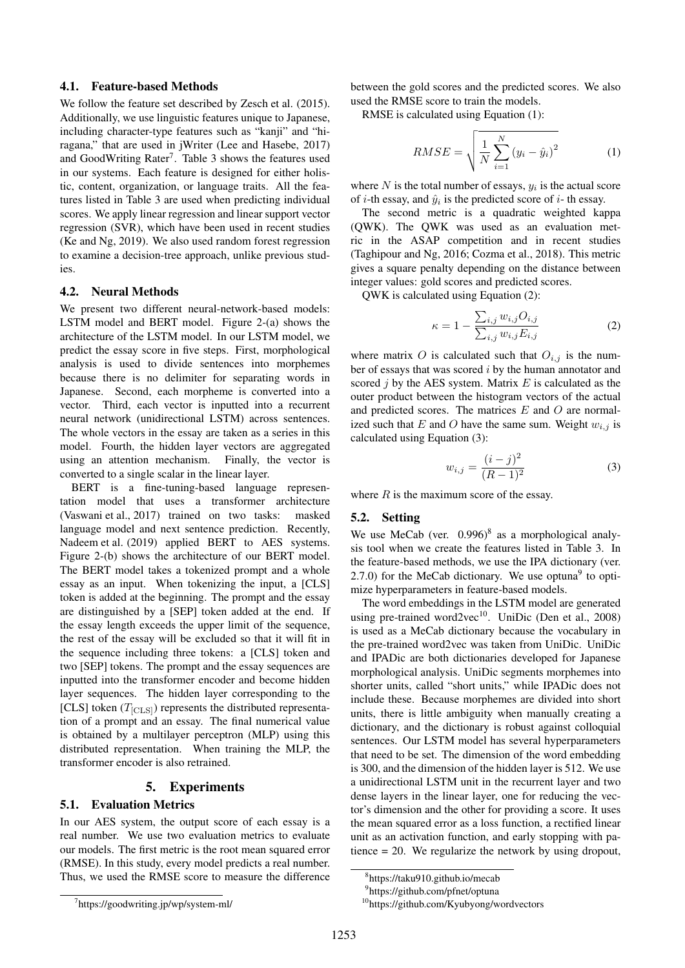### 4.1. Feature-based Methods

We follow the feature set described by Zesch et al. (2015). Additionally, we use linguistic features unique to Japanese, including character-type features such as "kanji" and "hiragana," that are used in jWriter (Lee and Hasebe, 2017) and GoodWriting Rater<sup>7</sup>. Table 3 shows the features used in our systems. Each feature is designed for either holistic, content, organization, or language traits. All the features listed in Table 3 are used when predicting individual scores. We apply linear regression and linear support vector regression (SVR), which have been used in recent studies (Ke and Ng, 2019). We also used random forest regression to examine a decision-tree approach, unlike previous studies.

#### 4.2. Neural Methods

We present two different neural-network-based models: LSTM model and BERT model. Figure 2-(a) shows the architecture of the LSTM model. In our LSTM model, we predict the essay score in five steps. First, morphological analysis is used to divide sentences into morphemes because there is no delimiter for separating words in Japanese. Second, each morpheme is converted into a vector. Third, each vector is inputted into a recurrent neural network (unidirectional LSTM) across sentences. The whole vectors in the essay are taken as a series in this model. Fourth, the hidden layer vectors are aggregated using an attention mechanism. Finally, the vector is converted to a single scalar in the linear layer.

BERT is a fine-tuning-based language representation model that uses a transformer architecture (Vaswani et al., 2017) trained on two tasks: masked language model and next sentence prediction. Recently, Nadeem et al. (2019) applied BERT to AES systems. Figure 2-(b) shows the architecture of our BERT model. The BERT model takes a tokenized prompt and a whole essay as an input. When tokenizing the input, a [CLS] token is added at the beginning. The prompt and the essay are distinguished by a [SEP] token added at the end. If the essay length exceeds the upper limit of the sequence, the rest of the essay will be excluded so that it will fit in the sequence including three tokens: a [CLS] token and two [SEP] tokens. The prompt and the essay sequences are inputted into the transformer encoder and become hidden layer sequences. The hidden layer corresponding to the [CLS] token  $(T_{\text{[CLS]}})$  represents the distributed representation of a prompt and an essay. The final numerical value is obtained by a multilayer perceptron (MLP) using this distributed representation. When training the MLP, the transformer encoder is also retrained.

# 5. Experiments

#### 5.1. Evaluation Metrics

In our AES system, the output score of each essay is a real number. We use two evaluation metrics to evaluate our models. The first metric is the root mean squared error (RMSE). In this study, every model predicts a real number. Thus, we used the RMSE score to measure the difference between the gold scores and the predicted scores. We also used the RMSE score to train the models.

RMSE is calculated using Equation (1):

$$
RMSE = \sqrt{\frac{1}{N} \sum_{i=1}^{N} (y_i - \hat{y}_i)^2}
$$
 (1)

where  $N$  is the total number of essays,  $y_i$  is the actual score of  $i$ -th essay, and  $\hat{y}_i$  is the predicted score of  $i$ -th essay.

The second metric is a quadratic weighted kappa (QWK). The QWK was used as an evaluation metric in the ASAP competition and in recent studies (Taghipour and Ng, 2016; Cozma et al., 2018). This metric gives a square penalty depending on the distance between integer values: gold scores and predicted scores.

QWK is calculated using Equation (2):

$$
\kappa = 1 - \frac{\sum_{i,j} w_{i,j} O_{i,j}}{\sum_{i,j} w_{i,j} E_{i,j}}
$$
(2)

where matrix O is calculated such that  $O_{i,j}$  is the number of essays that was scored *i* by the human annotator and scored *j* by the AES system. Matrix *E* is calculated as the outer product between the histogram vectors of the actual and predicted scores. The matrices *E* and *O* are normalized such that *E* and *O* have the same sum. Weight  $w_{i,j}$  is calculated using Equation (3):

$$
w_{i,j} = \frac{(i-j)^2}{(R-1)^2}
$$
 (3)

where *R* is the maximum score of the essay.

#### 5.2. Setting

We use MeCab (ver.  $0.996$ )<sup>8</sup> as a morphological analysis tool when we create the features listed in Table 3. In the feature-based methods, we use the IPA dictionary (ver. 2.7.0) for the MeCab dictionary. We use optuna $9$  to optimize hyperparameters in feature-based models.

The word embeddings in the LSTM model are generated using pre-trained word2vec<sup>10</sup>. UniDic (Den et al., 2008) is used as a MeCab dictionary because the vocabulary in the pre-trained word2vec was taken from UniDic. UniDic and IPADic are both dictionaries developed for Japanese morphological analysis. UniDic segments morphemes into shorter units, called "short units," while IPADic does not include these. Because morphemes are divided into short units, there is little ambiguity when manually creating a dictionary, and the dictionary is robust against colloquial sentences. Our LSTM model has several hyperparameters that need to be set. The dimension of the word embedding is 300, and the dimension of the hidden layer is 512. We use a unidirectional LSTM unit in the recurrent layer and two dense layers in the linear layer, one for reducing the vector's dimension and the other for providing a score. It uses the mean squared error as a loss function, a rectified linear unit as an activation function, and early stopping with patience = 20. We regularize the network by using dropout,

<sup>8</sup> https://taku910.github.io/mecab

<sup>9</sup> https://github.com/pfnet/optuna

<sup>10</sup>https://github.com/Kyubyong/wordvectors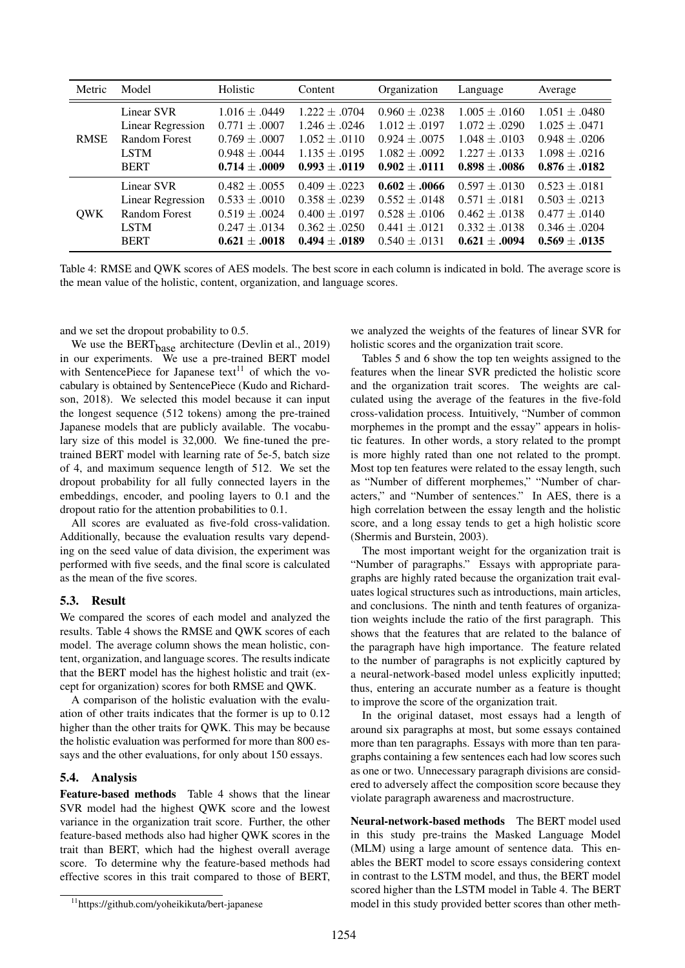| Metric      | Model                                                                                        | Holistic                                                                                              | Content                                                                                               | Organization                                                                                       | Language                                                                                            | Average                                                                                               |
|-------------|----------------------------------------------------------------------------------------------|-------------------------------------------------------------------------------------------------------|-------------------------------------------------------------------------------------------------------|----------------------------------------------------------------------------------------------------|-----------------------------------------------------------------------------------------------------|-------------------------------------------------------------------------------------------------------|
| <b>RMSE</b> | Linear SVR<br><b>Linear Regression</b><br>Random Forest<br><b>LSTM</b>                       | $1.016 \pm .0449$<br>$0.771 \pm .0007$<br>$0.769 \pm .0007$<br>$0.948 \pm .0044$                      | $1.222 \pm .0704$<br>$1.246 \pm .0246$<br>$1.052 \pm .0110$<br>$1.135 \pm .0195$                      | $0.960 \pm .0238$<br>$1.012 \pm .0197$<br>$0.924 \pm .0075$<br>$1.082 \pm .0092$                   | $1.005 \pm .0160$<br>$1.072 \pm .0290$<br>$1.048 \pm .0103$<br>$1.227 \pm .0133$                    | $1.051 \pm .0480$<br>$1.025 \pm .0471$<br>$0.948 \pm .0206$<br>$1.098 \pm .0216$                      |
|             | <b>BERT</b>                                                                                  | $0.714 \pm .0009$                                                                                     | $0.993 \pm .0119$                                                                                     | $0.902 \pm .0111$                                                                                  | $0.898 \pm .0086$                                                                                   | $0.876 \pm .0182$                                                                                     |
| <b>QWK</b>  | Linear SVR<br><b>Linear Regression</b><br><b>Random Forest</b><br><b>LSTM</b><br><b>BERT</b> | $0.482 \pm .0055$<br>$0.533 \pm .0010$<br>$0.519 \pm .0024$<br>$0.247 \pm .0134$<br>$0.621 \pm .0018$ | $0.409 \pm .0223$<br>$0.358 \pm .0239$<br>$0.400 \pm .0197$<br>$0.362 \pm .0250$<br>$0.494 \pm .0189$ | $0.602 \pm .0066$<br>$0.552 \pm .0148$<br>$0.528 \pm .0106$<br>$0.441 + 0121$<br>$0.540 \pm .0131$ | $0.597 \pm .0130$<br>$0.571 \pm .0181$<br>$0.462 \pm .0138$<br>$0.332 \pm .0138$<br>$0.621 + .0094$ | $0.523 \pm .0181$<br>$0.503 \pm .0213$<br>$0.477 \pm .0140$<br>$0.346 \pm .0204$<br>$0.569 \pm .0135$ |

Table 4: RMSE and QWK scores of AES models. The best score in each column is indicated in bold. The average score is the mean value of the holistic, content, organization, and language scores.

and we set the dropout probability to 0.5.

We use the  $BERT_{base}$  architecture (Devlin et al., 2019) in our experiments. We use a pre-trained BERT model with SentencePiece for Japanese text<sup>11</sup> of which the vocabulary is obtained by SentencePiece (Kudo and Richardson, 2018). We selected this model because it can input the longest sequence (512 tokens) among the pre-trained Japanese models that are publicly available. The vocabulary size of this model is 32,000. We fine-tuned the pretrained BERT model with learning rate of 5e-5, batch size of 4, and maximum sequence length of 512. We set the dropout probability for all fully connected layers in the embeddings, encoder, and pooling layers to 0.1 and the dropout ratio for the attention probabilities to 0.1.

All scores are evaluated as five-fold cross-validation. Additionally, because the evaluation results vary depending on the seed value of data division, the experiment was performed with five seeds, and the final score is calculated as the mean of the five scores.

# 5.3. Result

We compared the scores of each model and analyzed the results. Table 4 shows the RMSE and QWK scores of each model. The average column shows the mean holistic, content, organization, and language scores. The results indicate that the BERT model has the highest holistic and trait (except for organization) scores for both RMSE and QWK.

A comparison of the holistic evaluation with the evaluation of other traits indicates that the former is up to 0.12 higher than the other traits for QWK. This may be because the holistic evaluation was performed for more than 800 essays and the other evaluations, for only about 150 essays.

### 5.4. Analysis

Feature-based methods Table 4 shows that the linear SVR model had the highest QWK score and the lowest variance in the organization trait score. Further, the other feature-based methods also had higher QWK scores in the trait than BERT, which had the highest overall average score. To determine why the feature-based methods had effective scores in this trait compared to those of BERT,

we analyzed the weights of the features of linear SVR for holistic scores and the organization trait score.

Tables 5 and 6 show the top ten weights assigned to the features when the linear SVR predicted the holistic score and the organization trait scores. The weights are calculated using the average of the features in the five-fold cross-validation process. Intuitively, "Number of common morphemes in the prompt and the essay" appears in holistic features. In other words, a story related to the prompt is more highly rated than one not related to the prompt. Most top ten features were related to the essay length, such as "Number of different morphemes," "Number of characters," and "Number of sentences." In AES, there is a high correlation between the essay length and the holistic score, and a long essay tends to get a high holistic score (Shermis and Burstein, 2003).

The most important weight for the organization trait is "Number of paragraphs." Essays with appropriate paragraphs are highly rated because the organization trait evaluates logical structures such as introductions, main articles, and conclusions. The ninth and tenth features of organization weights include the ratio of the first paragraph. This shows that the features that are related to the balance of the paragraph have high importance. The feature related to the number of paragraphs is not explicitly captured by a neural-network-based model unless explicitly inputted; thus, entering an accurate number as a feature is thought to improve the score of the organization trait.

In the original dataset, most essays had a length of around six paragraphs at most, but some essays contained more than ten paragraphs. Essays with more than ten paragraphs containing a few sentences each had low scores such as one or two. Unnecessary paragraph divisions are considered to adversely affect the composition score because they violate paragraph awareness and macrostructure.

Neural-network-based methods The BERT model used in this study pre-trains the Masked Language Model (MLM) using a large amount of sentence data. This enables the BERT model to score essays considering context in contrast to the LSTM model, and thus, the BERT model scored higher than the LSTM model in Table 4. The BERT model in this study provided better scores than other meth-

<sup>11</sup>https://github.com/yoheikikuta/bert-japanese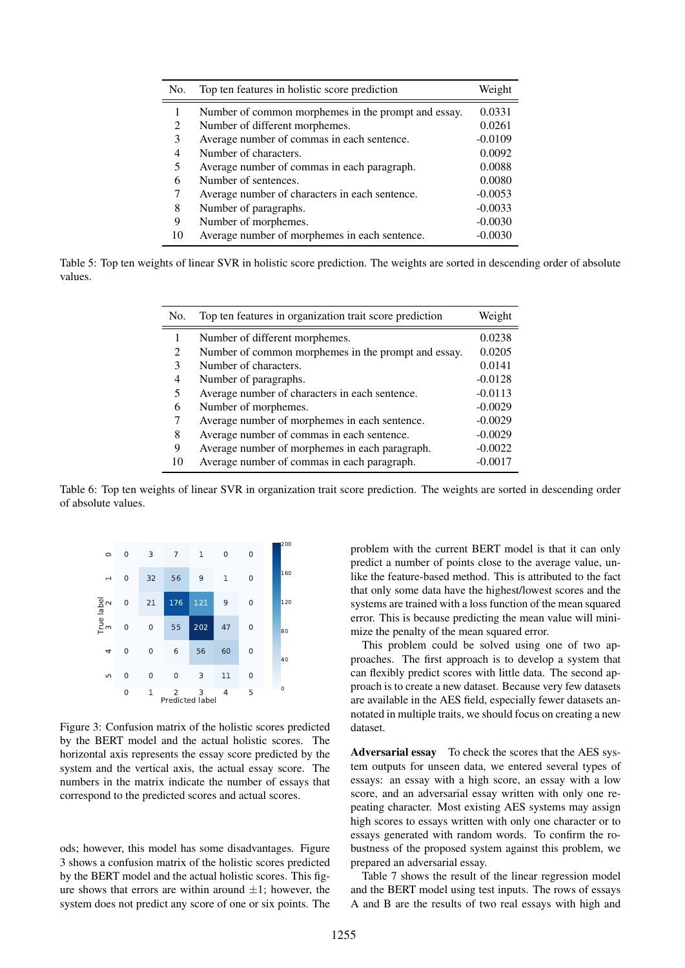| No.            | Top ten features in holistic score prediction       | Weight    |
|----------------|-----------------------------------------------------|-----------|
|                | Number of common morphemes in the prompt and essay. | 0.0331    |
| $\mathfrak{D}$ | Number of different morphemes.                      | 0.0261    |
| 3              | Average number of commas in each sentence.          | $-0.0109$ |
| 4              | Number of characters.                               | 0.0092    |
| 5              | Average number of commas in each paragraph.         | 0.0088    |
| 6              | Number of sentences.                                | 0.0080    |
| 7              | Average number of characters in each sentence.      | $-0.0053$ |
| 8              | Number of paragraphs.                               | $-0.0033$ |
| 9              | Number of morphemes.                                | $-0.0030$ |
| 10             | Average number of morphemes in each sentence.       | $-0.0030$ |

Table 5: Top ten weights of linear SVR in holistic score prediction. The weights are sorted in descending order of absolute values.

| No. | Top ten features in organization trait score prediction | Weight    |
|-----|---------------------------------------------------------|-----------|
|     | Number of different morphemes.                          | 0.0238    |
| 2   | Number of common morphemes in the prompt and essay.     | 0.0205    |
| 3   | Number of characters.                                   | 0.0141    |
| 4   | Number of paragraphs.                                   | $-0.0128$ |
| 5   | Average number of characters in each sentence.          | $-0.0113$ |
| 6   | Number of morphemes.                                    | $-0.0029$ |
|     | Average number of morphemes in each sentence.           | $-0.0029$ |
| 8   | Average number of commas in each sentence.              | $-0.0029$ |
| 9   | Average number of morphemes in each paragraph.          | $-0.0022$ |
| 10  | Average number of commas in each paragraph.             | $-0.0017$ |

Table 6: Top ten weights of linear SVR in organization trait score prediction. The weights are sorted in descending order of absolute values.



Figure 3: Confusion matrix of the holistic scores predicted by the BERT model and the actual holistic scores. The horizontal axis represents the essay score predicted by the system and the vertical axis, the actual essay score. The numbers in the matrix indicate the number of essays that correspond to the predicted scores and actual scores.

ods; however, this model has some disadvantages. Figure 3 shows a confusion matrix of the holistic scores predicted by the BERT model and the actual holistic scores. This figure shows that errors are within around  $\pm 1$ ; however, the system does not predict any score of one or six points. The

problem with the current BERT model is that it can only predict a number of points close to the average value, unlike the feature-based method. This is attributed to the fact that only some data have the highest/lowest scores and the systems are trained with a loss function of the mean squared error. This is because predicting the mean value will minimize the penalty of the mean squared error.

This problem could be solved using one of two approaches. The first approach is to develop a system that can flexibly predict scores with little data. The second approach is to create a new dataset. Because very few datasets are available in the AES field, especially fewer datasets annotated in multiple traits, we should focus on creating a new dataset.

Adversarial essay To check the scores that the AES system outputs for unseen data, we entered several types of essays: an essay with a high score, an essay with a low score, and an adversarial essay written with only one repeating character. Most existing AES systems may assign high scores to essays written with only one character or to essays generated with random words. To confirm the robustness of the proposed system against this problem, we prepared an adversarial essay.

Table 7 shows the result of the linear regression model and the BERT model using test inputs. The rows of essays A and B are the results of two real essays with high and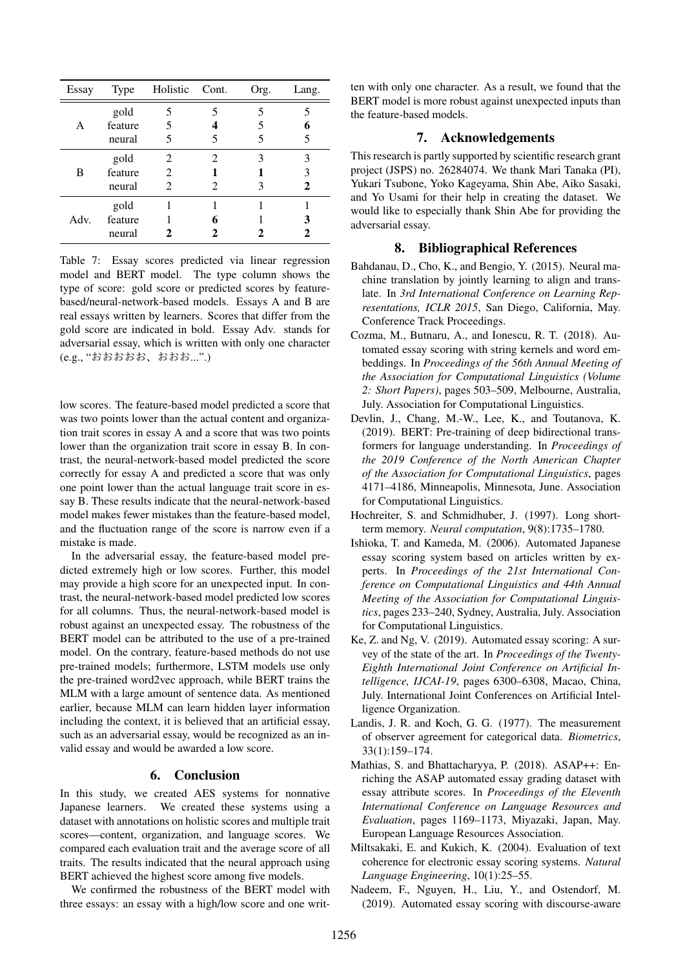| Essay | Type    | Holistic Cont. |   | Org. | Lang. |
|-------|---------|----------------|---|------|-------|
|       | gold    |                | 5 |      |       |
| A     | feature | 5              |   |      |       |
|       | neural  | 5              | 5 |      | 5     |
|       | gold    | 2              | 2 |      | 3     |
| В     | feature | 2              |   |      |       |
|       | neural  | 2              | 2 |      | 2     |
|       | gold    |                |   |      |       |
| Adv.  | feature |                |   |      |       |
|       | neural  |                |   |      |       |

Table 7: Essay scores predicted via linear regression model and BERT model. The type column shows the type of score: gold score or predicted scores by featurebased/neural-network-based models. Essays A and B are real essays written by learners. Scores that differ from the gold score are indicated in bold. Essay Adv. stands for adversarial essay, which is written with only one character (e.g., "おおおおお、おおお...".)

low scores. The feature-based model predicted a score that was two points lower than the actual content and organization trait scores in essay A and a score that was two points lower than the organization trait score in essay B. In contrast, the neural-network-based model predicted the score correctly for essay A and predicted a score that was only one point lower than the actual language trait score in essay B. These results indicate that the neural-network-based model makes fewer mistakes than the feature-based model, and the fluctuation range of the score is narrow even if a mistake is made.

In the adversarial essay, the feature-based model predicted extremely high or low scores. Further, this model may provide a high score for an unexpected input. In contrast, the neural-network-based model predicted low scores for all columns. Thus, the neural-network-based model is robust against an unexpected essay. The robustness of the BERT model can be attributed to the use of a pre-trained model. On the contrary, feature-based methods do not use pre-trained models; furthermore, LSTM models use only the pre-trained word2vec approach, while BERT trains the MLM with a large amount of sentence data. As mentioned earlier, because MLM can learn hidden layer information including the context, it is believed that an artificial essay, such as an adversarial essay, would be recognized as an invalid essay and would be awarded a low score.

### 6. Conclusion

In this study, we created AES systems for nonnative Japanese learners. We created these systems using a dataset with annotations on holistic scores and multiple trait scores—content, organization, and language scores. We compared each evaluation trait and the average score of all traits. The results indicated that the neural approach using BERT achieved the highest score among five models.

We confirmed the robustness of the BERT model with three essays: an essay with a high/low score and one written with only one character. As a result, we found that the BERT model is more robust against unexpected inputs than the feature-based models.

# 7. Acknowledgements

This research is partly supported by scientific research grant project (JSPS) no. 26284074. We thank Mari Tanaka (PI), Yukari Tsubone, Yoko Kageyama, Shin Abe, Aiko Sasaki, and Yo Usami for their help in creating the dataset. We would like to especially thank Shin Abe for providing the adversarial essay.

# 8. Bibliographical References

- Bahdanau, D., Cho, K., and Bengio, Y. (2015). Neural machine translation by jointly learning to align and translate. In *3rd International Conference on Learning Representations, ICLR 2015*, San Diego, California, May. Conference Track Proceedings.
- Cozma, M., Butnaru, A., and Ionescu, R. T. (2018). Automated essay scoring with string kernels and word embeddings. In *Proceedings of the 56th Annual Meeting of the Association for Computational Linguistics (Volume 2: Short Papers)*, pages 503–509, Melbourne, Australia, July. Association for Computational Linguistics.
- Devlin, J., Chang, M.-W., Lee, K., and Toutanova, K. (2019). BERT: Pre-training of deep bidirectional transformers for language understanding. In *Proceedings of the 2019 Conference of the North American Chapter of the Association for Computational Linguistics*, pages 4171–4186, Minneapolis, Minnesota, June. Association for Computational Linguistics.
- Hochreiter, S. and Schmidhuber, J. (1997). Long shortterm memory. *Neural computation*, 9(8):1735–1780.
- Ishioka, T. and Kameda, M. (2006). Automated Japanese essay scoring system based on articles written by experts. In *Proceedings of the 21st International Conference on Computational Linguistics and 44th Annual Meeting of the Association for Computational Linguistics*, pages 233–240, Sydney, Australia, July. Association for Computational Linguistics.
- Ke, Z. and Ng, V. (2019). Automated essay scoring: A survey of the state of the art. In *Proceedings of the Twenty-Eighth International Joint Conference on Artificial Intelligence, IJCAI-19*, pages 6300–6308, Macao, China, July. International Joint Conferences on Artificial Intelligence Organization.
- Landis, J. R. and Koch, G. G. (1977). The measurement of observer agreement for categorical data. *Biometrics*, 33(1):159–174.
- Mathias, S. and Bhattacharyya, P. (2018). ASAP++: Enriching the ASAP automated essay grading dataset with essay attribute scores. In *Proceedings of the Eleventh International Conference on Language Resources and Evaluation*, pages 1169–1173, Miyazaki, Japan, May. European Language Resources Association.
- Miltsakaki, E. and Kukich, K. (2004). Evaluation of text coherence for electronic essay scoring systems. *Natural Language Engineering*, 10(1):25–55.
- Nadeem, F., Nguyen, H., Liu, Y., and Ostendorf, M. (2019). Automated essay scoring with discourse-aware